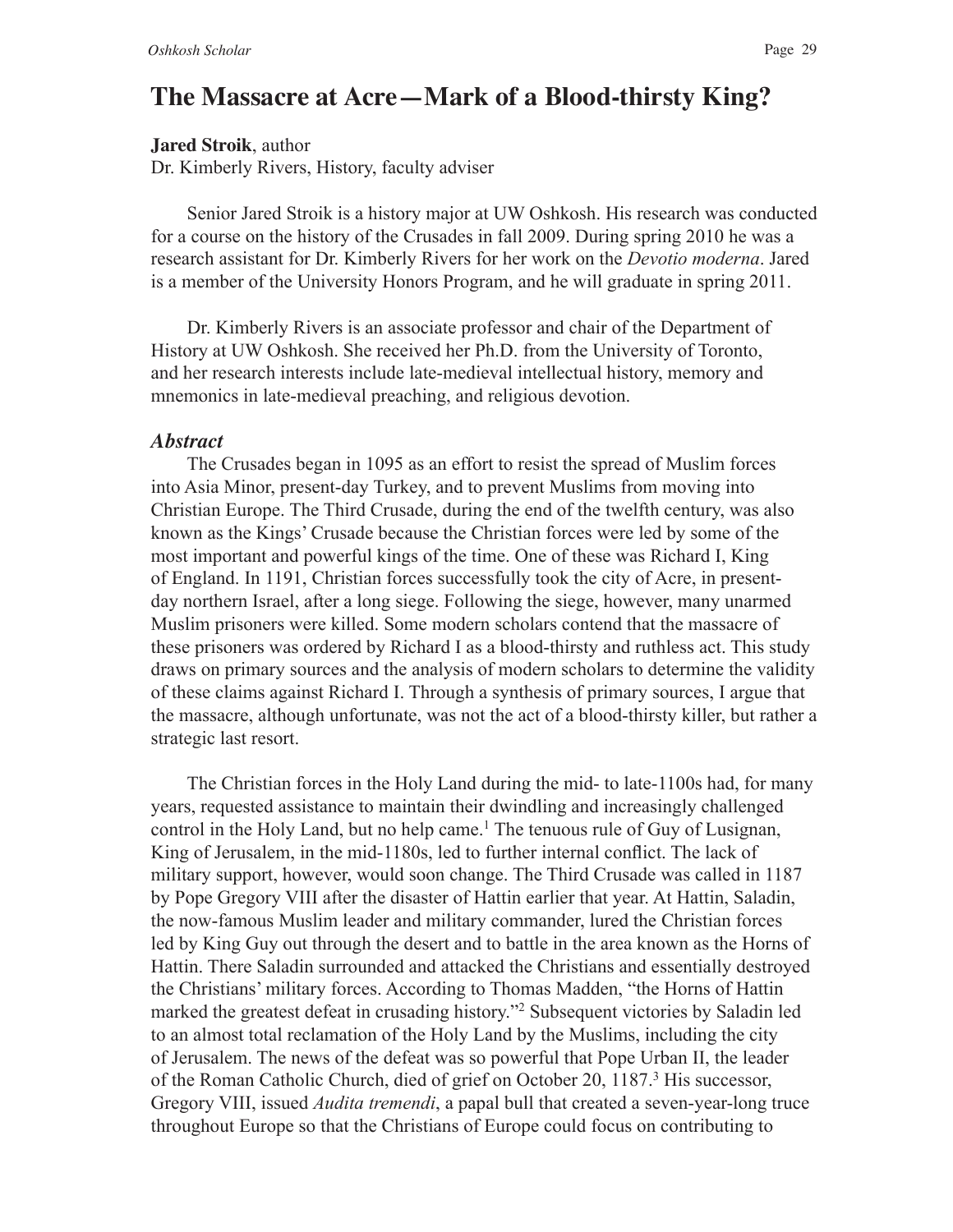## **The Massacre at Acre—Mark of a Blood-thirsty King?**

**Jared Stroik**, author

Dr. Kimberly Rivers, History, faculty adviser

Senior Jared Stroik is a history major at UW Oshkosh. His research was conducted for a course on the history of the Crusades in fall 2009. During spring 2010 he was a research assistant for Dr. Kimberly Rivers for her work on the *Devotio moderna*. Jared is a member of the University Honors Program, and he will graduate in spring 2011.

Dr. Kimberly Rivers is an associate professor and chair of the Department of History at UW Oshkosh. She received her Ph.D. from the University of Toronto, and her research interests include late-medieval intellectual history, memory and mnemonics in late-medieval preaching, and religious devotion.

## *Abstract*

The Crusades began in 1095 as an effort to resist the spread of Muslim forces into Asia Minor, present-day Turkey, and to prevent Muslims from moving into Christian Europe. The Third Crusade, during the end of the twelfth century, was also known as the Kings' Crusade because the Christian forces were led by some of the most important and powerful kings of the time. One of these was Richard I, King of England. In 1191, Christian forces successfully took the city of Acre, in presentday northern Israel, after a long siege. Following the siege, however, many unarmed Muslim prisoners were killed. Some modern scholars contend that the massacre of these prisoners was ordered by Richard I as a blood-thirsty and ruthless act. This study draws on primary sources and the analysis of modern scholars to determine the validity of these claims against Richard I. Through a synthesis of primary sources, I argue that the massacre, although unfortunate, was not the act of a blood-thirsty killer, but rather a strategic last resort.

The Christian forces in the Holy Land during the mid- to late-1100s had, for many years, requested assistance to maintain their dwindling and increasingly challenged control in the Holy Land, but no help came.<sup>1</sup> The tenuous rule of Guy of Lusignan, King of Jerusalem, in the mid-1180s, led to further internal confict. The lack of military support, however, would soon change. The Third Crusade was called in 1187 by Pope Gregory VIII after the disaster of Hattin earlier that year. At Hattin, Saladin, the now-famous Muslim leader and military commander, lured the Christian forces led by King Guy out through the desert and to battle in the area known as the Horns of Hattin. There Saladin surrounded and attacked the Christians and essentially destroyed the Christians' military forces. According to Thomas Madden, "the Horns of Hattin marked the greatest defeat in crusading history."2 Subsequent victories by Saladin led to an almost total reclamation of the Holy Land by the Muslims, including the city of Jerusalem. The news of the defeat was so powerful that Pope Urban II, the leader of the Roman Catholic Church, died of grief on October 20, 1187.<sup>3</sup> His successor, Gregory VIII, issued *Audita tremendi*, a papal bull that created a seven-year-long truce throughout Europe so that the Christians of Europe could focus on contributing to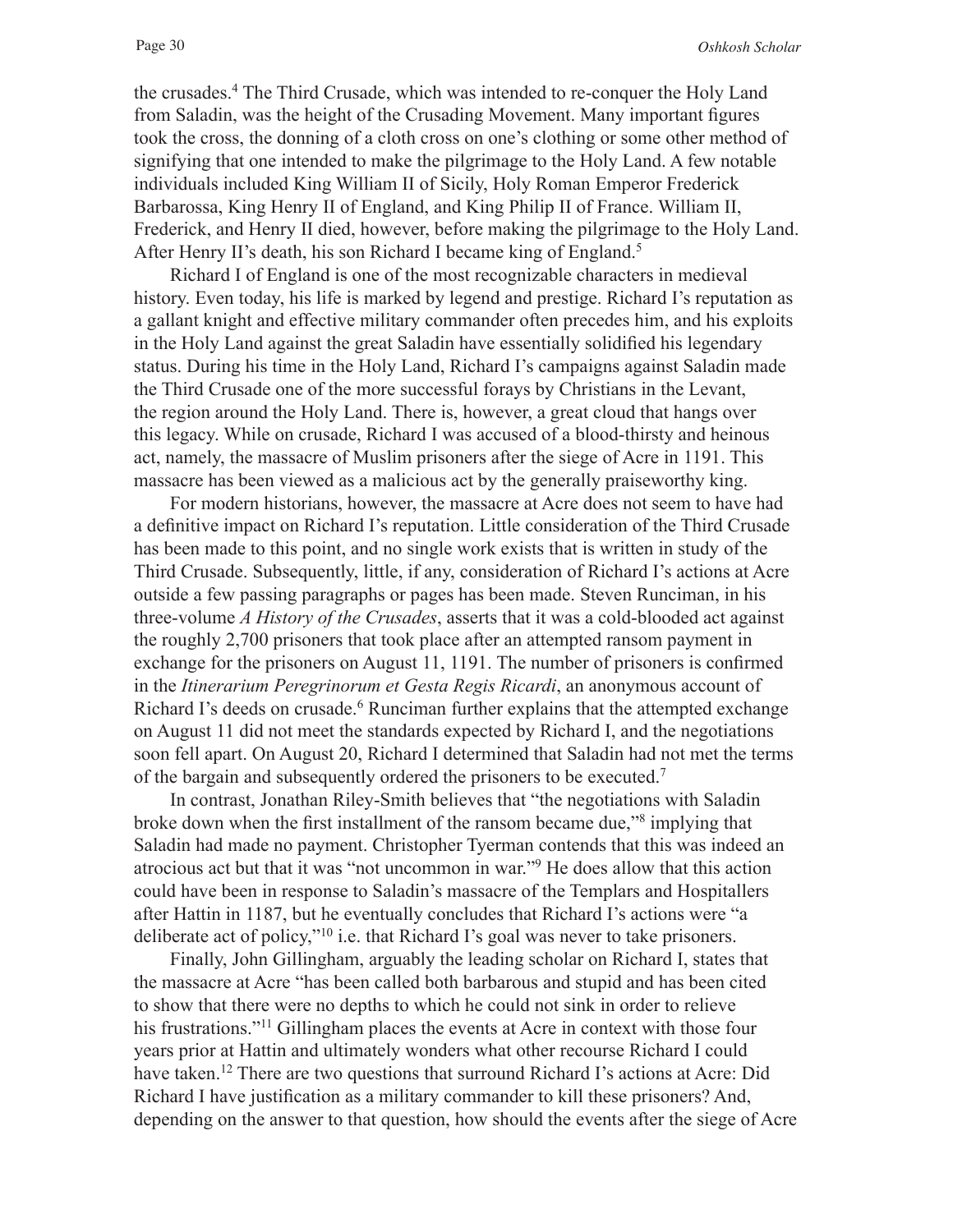the crusades.4 The Third Crusade, which was intended to re-conquer the Holy Land from Saladin, was the height of the Crusading Movement. Many important fgures took the cross, the donning of a cloth cross on one's clothing or some other method of signifying that one intended to make the pilgrimage to the Holy Land. A few notable individuals included King William II of Sicily, Holy Roman Emperor Frederick Barbarossa, King Henry II of England, and King Philip II of France. William II, Frederick, and Henry II died, however, before making the pilgrimage to the Holy Land. After Henry II's death, his son Richard I became king of England.<sup>5</sup>

Richard I of England is one of the most recognizable characters in medieval history. Even today, his life is marked by legend and prestige. Richard I's reputation as a gallant knight and effective military commander often precedes him, and his exploits in the Holy Land against the great Saladin have essentially solidifed his legendary status. During his time in the Holy Land, Richard I's campaigns against Saladin made the Third Crusade one of the more successful forays by Christians in the Levant, the region around the Holy Land. There is, however, a great cloud that hangs over this legacy. While on crusade, Richard I was accused of a blood-thirsty and heinous act, namely, the massacre of Muslim prisoners after the siege of Acre in 1191. This massacre has been viewed as a malicious act by the generally praiseworthy king.

For modern historians, however, the massacre at Acre does not seem to have had a defnitive impact on Richard I's reputation. Little consideration of the Third Crusade has been made to this point, and no single work exists that is written in study of the Third Crusade. Subsequently, little, if any, consideration of Richard I's actions at Acre outside a few passing paragraphs or pages has been made. Steven Runciman, in his three-volume *A History of the Crusades*, asserts that it was a cold-blooded act against the roughly 2,700 prisoners that took place after an attempted ransom payment in exchange for the prisoners on August 11, 1191. The number of prisoners is confrmed in the *Itinerarium Peregrinorum et Gesta Regis Ricardi*, an anonymous account of Richard I's deeds on crusade.<sup>6</sup> Runciman further explains that the attempted exchange on August 11 did not meet the standards expected by Richard I, and the negotiations soon fell apart. On August 20, Richard I determined that Saladin had not met the terms of the bargain and subsequently ordered the prisoners to be executed.7

In contrast, Jonathan Riley-Smith believes that "the negotiations with Saladin broke down when the first installment of the ransom became due,"<sup>8</sup> implying that Saladin had made no payment. Christopher Tyerman contends that this was indeed an atrocious act but that it was "not uncommon in war."9 He does allow that this action could have been in response to Saladin's massacre of the Templars and Hospitallers after Hattin in 1187, but he eventually concludes that Richard I's actions were "a deliberate act of policy,"10 i.e. that Richard I's goal was never to take prisoners.

Finally, John Gillingham, arguably the leading scholar on Richard I, states that the massacre at Acre "has been called both barbarous and stupid and has been cited to show that there were no depths to which he could not sink in order to relieve his frustrations."11 Gillingham places the events at Acre in context with those four years prior at Hattin and ultimately wonders what other recourse Richard I could have taken.<sup>12</sup> There are two questions that surround Richard I's actions at Acre: Did Richard I have justifcation as a military commander to kill these prisoners? And, depending on the answer to that question, how should the events after the siege of Acre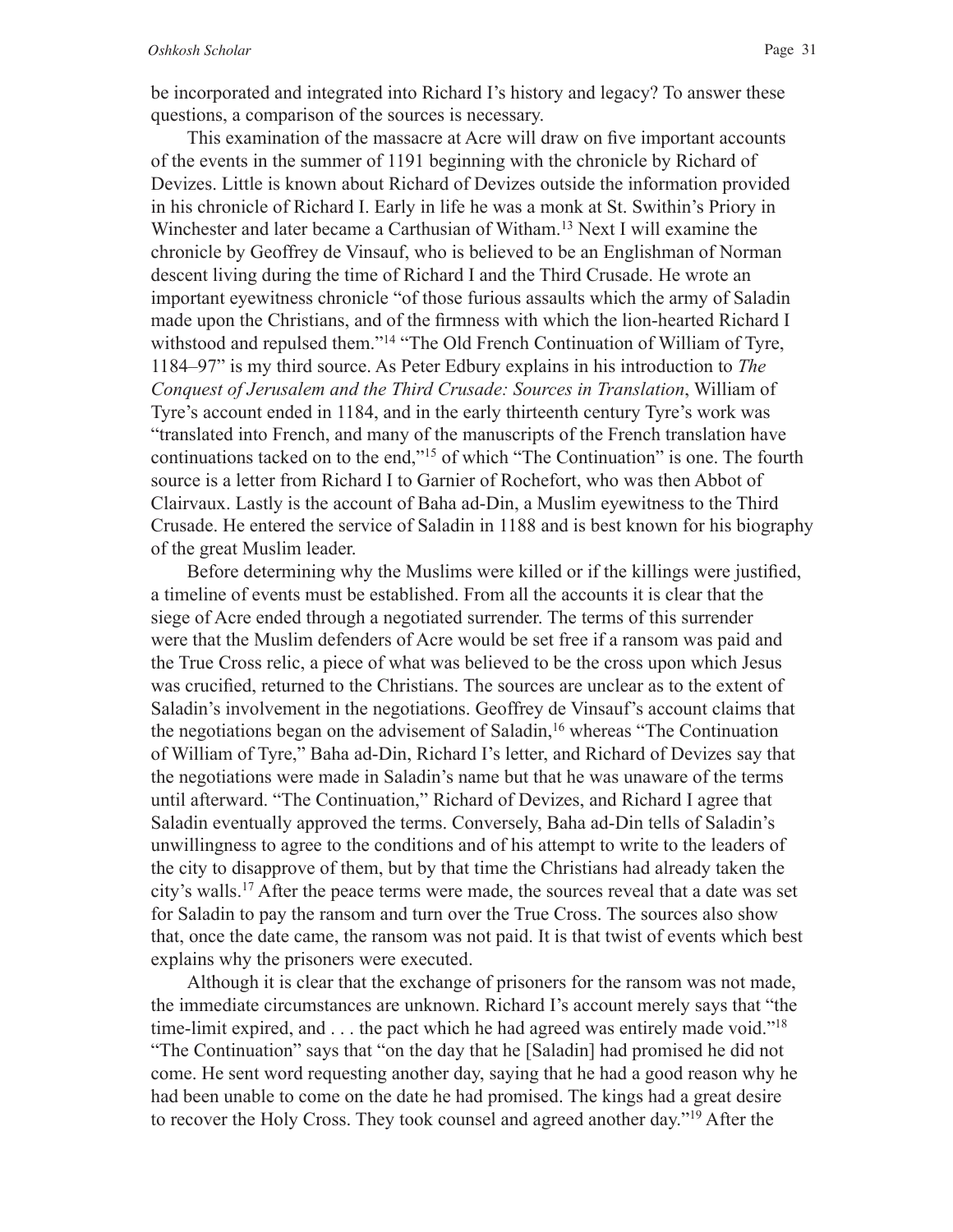This examination of the massacre at Acre will draw on fve important accounts of the events in the summer of 1191 beginning with the chronicle by Richard of Devizes. Little is known about Richard of Devizes outside the information provided in his chronicle of Richard I. Early in life he was a monk at St. Swithin's Priory in Winchester and later became a Carthusian of Witham.<sup>13</sup> Next I will examine the chronicle by Geoffrey de Vinsauf, who is believed to be an Englishman of Norman descent living during the time of Richard I and the Third Crusade. He wrote an important eyewitness chronicle "of those furious assaults which the army of Saladin made upon the Christians, and of the frmness with which the lion-hearted Richard I withstood and repulsed them."<sup>14</sup> "The Old French Continuation of William of Tyre, 1184–97" is my third source. As Peter Edbury explains in his introduction to *The Conquest of Jerusalem and the Third Crusade: Sources in Translation*, William of Tyre's account ended in 1184, and in the early thirteenth century Tyre's work was "translated into French, and many of the manuscripts of the French translation have continuations tacked on to the end,"15 of which "The Continuation" is one. The fourth source is a letter from Richard I to Garnier of Rochefort, who was then Abbot of Clairvaux. Lastly is the account of Baha ad-Din, a Muslim eyewitness to the Third Crusade. He entered the service of Saladin in 1188 and is best known for his biography of the great Muslim leader.

Before determining why the Muslims were killed or if the killings were justifed, a timeline of events must be established. From all the accounts it is clear that the siege of Acre ended through a negotiated surrender. The terms of this surrender were that the Muslim defenders of Acre would be set free if a ransom was paid and the True Cross relic, a piece of what was believed to be the cross upon which Jesus was crucifed, returned to the Christians. The sources are unclear as to the extent of Saladin's involvement in the negotiations. Geoffrey de Vinsauf's account claims that the negotiations began on the advisement of Saladin,<sup>16</sup> whereas "The Continuation" of William of Tyre," Baha ad-Din, Richard I's letter, and Richard of Devizes say that the negotiations were made in Saladin's name but that he was unaware of the terms until afterward. "The Continuation," Richard of Devizes, and Richard I agree that Saladin eventually approved the terms. Conversely, Baha ad-Din tells of Saladin's unwillingness to agree to the conditions and of his attempt to write to the leaders of the city to disapprove of them, but by that time the Christians had already taken the city's walls.17 After the peace terms were made, the sources reveal that a date was set for Saladin to pay the ransom and turn over the True Cross. The sources also show that, once the date came, the ransom was not paid. It is that twist of events which best explains why the prisoners were executed.

Although it is clear that the exchange of prisoners for the ransom was not made, the immediate circumstances are unknown. Richard I's account merely says that "the time-limit expired, and . . . the pact which he had agreed was entirely made void."18 "The Continuation" says that "on the day that he [Saladin] had promised he did not come. He sent word requesting another day, saying that he had a good reason why he had been unable to come on the date he had promised. The kings had a great desire to recover the Holy Cross. They took counsel and agreed another day."19 After the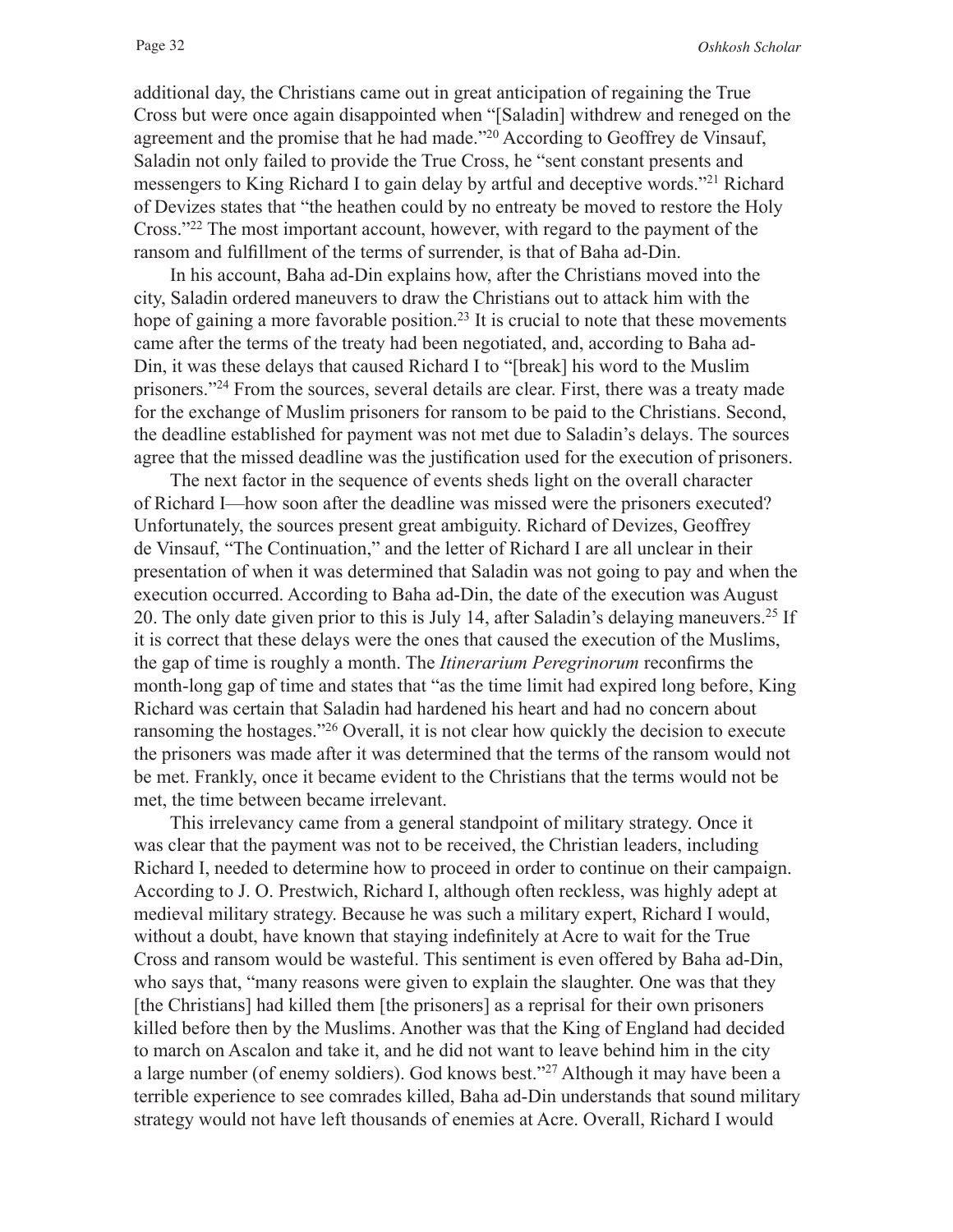additional day, the Christians came out in great anticipation of regaining the True Cross but were once again disappointed when "[Saladin] withdrew and reneged on the agreement and the promise that he had made."20 According to Geoffrey de Vinsauf, Saladin not only failed to provide the True Cross, he "sent constant presents and messengers to King Richard I to gain delay by artful and deceptive words."21 Richard of Devizes states that "the heathen could by no entreaty be moved to restore the Holy Cross."22 The most important account, however, with regard to the payment of the ransom and fulfllment of the terms of surrender, is that of Baha ad-Din.

In his account, Baha ad-Din explains how, after the Christians moved into the city, Saladin ordered maneuvers to draw the Christians out to attack him with the hope of gaining a more favorable position.<sup>23</sup> It is crucial to note that these movements came after the terms of the treaty had been negotiated, and, according to Baha ad-Din, it was these delays that caused Richard I to "[break] his word to the Muslim prisoners."24 From the sources, several details are clear. First, there was a treaty made for the exchange of Muslim prisoners for ransom to be paid to the Christians. Second, the deadline established for payment was not met due to Saladin's delays. The sources agree that the missed deadline was the justifcation used for the execution of prisoners.

The next factor in the sequence of events sheds light on the overall character of Richard I—how soon after the deadline was missed were the prisoners executed? Unfortunately, the sources present great ambiguity. Richard of Devizes, Geoffrey de Vinsauf, "The Continuation," and the letter of Richard I are all unclear in their presentation of when it was determined that Saladin was not going to pay and when the execution occurred. According to Baha ad-Din, the date of the execution was August 20. The only date given prior to this is July 14, after Saladin's delaying maneuvers.<sup>25</sup> If it is correct that these delays were the ones that caused the execution of the Muslims, the gap of time is roughly a month. The *Itinerarium Peregrinorum* reconfrms the month-long gap of time and states that "as the time limit had expired long before, King Richard was certain that Saladin had hardened his heart and had no concern about ransoming the hostages."26 Overall, it is not clear how quickly the decision to execute the prisoners was made after it was determined that the terms of the ransom would not be met. Frankly, once it became evident to the Christians that the terms would not be met, the time between became irrelevant.

This irrelevancy came from a general standpoint of military strategy. Once it was clear that the payment was not to be received, the Christian leaders, including Richard I, needed to determine how to proceed in order to continue on their campaign. According to J. O. Prestwich, Richard I, although often reckless, was highly adept at medieval military strategy. Because he was such a military expert, Richard I would, without a doubt, have known that staying indefnitely at Acre to wait for the True Cross and ransom would be wasteful. This sentiment is even offered by Baha ad-Din, who says that, "many reasons were given to explain the slaughter. One was that they [the Christians] had killed them [the prisoners] as a reprisal for their own prisoners killed before then by the Muslims. Another was that the King of England had decided to march on Ascalon and take it, and he did not want to leave behind him in the city a large number (of enemy soldiers). God knows best."27 Although it may have been a terrible experience to see comrades killed, Baha ad-Din understands that sound military strategy would not have left thousands of enemies at Acre. Overall, Richard I would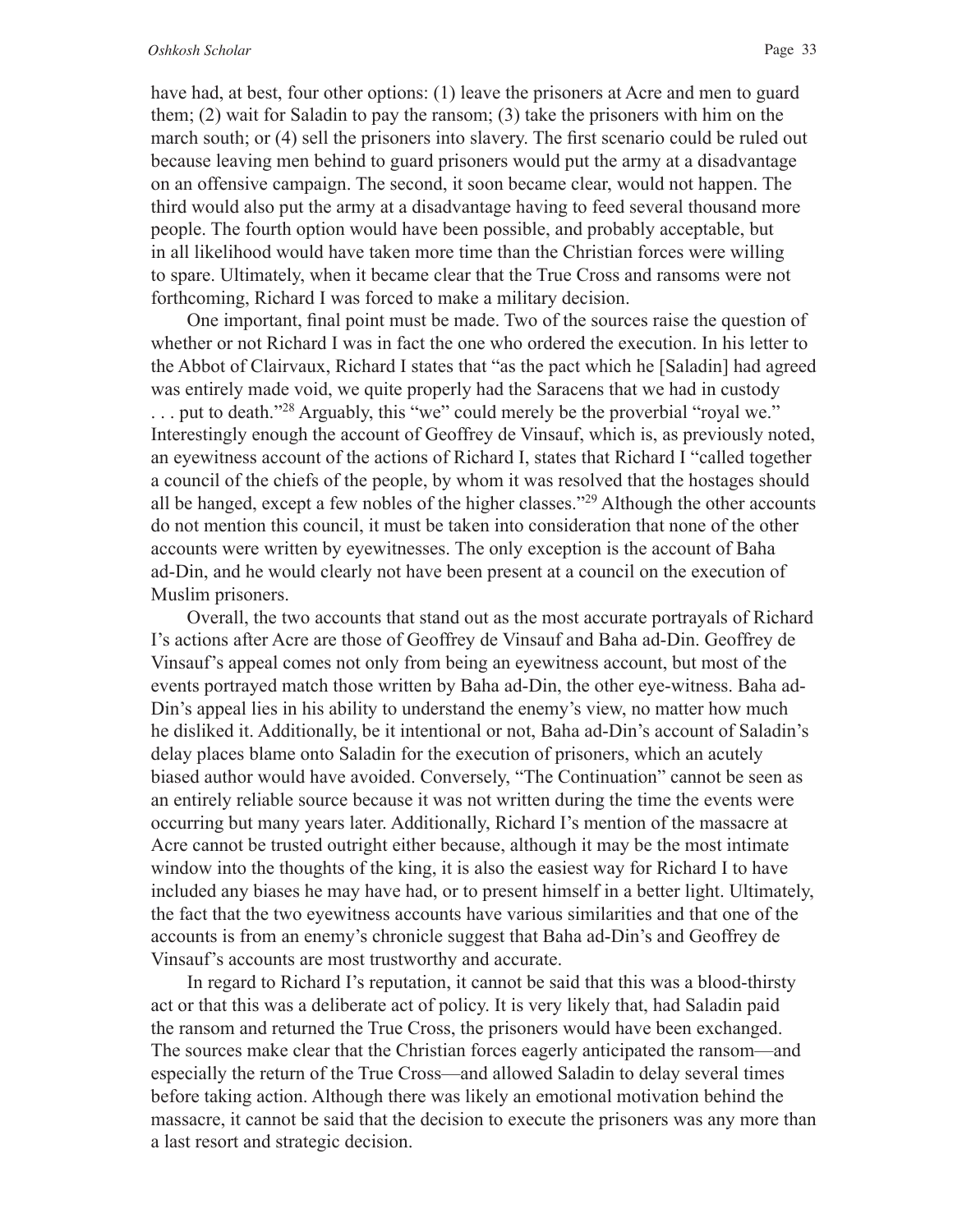have had, at best, four other options: (1) leave the prisoners at Acre and men to guard them; (2) wait for Saladin to pay the ransom; (3) take the prisoners with him on the march south; or (4) sell the prisoners into slavery. The frst scenario could be ruled out because leaving men behind to guard prisoners would put the army at a disadvantage on an offensive campaign. The second, it soon became clear, would not happen. The third would also put the army at a disadvantage having to feed several thousand more people. The fourth option would have been possible, and probably acceptable, but in all likelihood would have taken more time than the Christian forces were willing to spare. Ultimately, when it became clear that the True Cross and ransoms were not forthcoming, Richard I was forced to make a military decision.

One important, fnal point must be made. Two of the sources raise the question of whether or not Richard I was in fact the one who ordered the execution. In his letter to the Abbot of Clairvaux, Richard I states that "as the pact which he [Saladin] had agreed was entirely made void, we quite properly had the Saracens that we had in custody . . . put to death."28 Arguably, this "we" could merely be the proverbial "royal we." Interestingly enough the account of Geoffrey de Vinsauf, which is, as previously noted, an eyewitness account of the actions of Richard I, states that Richard I "called together a council of the chiefs of the people, by whom it was resolved that the hostages should all be hanged, except a few nobles of the higher classes."29 Although the other accounts do not mention this council, it must be taken into consideration that none of the other accounts were written by eyewitnesses. The only exception is the account of Baha ad-Din, and he would clearly not have been present at a council on the execution of Muslim prisoners.

Overall, the two accounts that stand out as the most accurate portrayals of Richard I's actions after Acre are those of Geoffrey de Vinsauf and Baha ad-Din. Geoffrey de Vinsauf's appeal comes not only from being an eyewitness account, but most of the events portrayed match those written by Baha ad-Din, the other eye-witness. Baha ad-Din's appeal lies in his ability to understand the enemy's view, no matter how much he disliked it. Additionally, be it intentional or not, Baha ad-Din's account of Saladin's delay places blame onto Saladin for the execution of prisoners, which an acutely biased author would have avoided. Conversely, "The Continuation" cannot be seen as an entirely reliable source because it was not written during the time the events were occurring but many years later. Additionally, Richard I's mention of the massacre at Acre cannot be trusted outright either because, although it may be the most intimate window into the thoughts of the king, it is also the easiest way for Richard I to have included any biases he may have had, or to present himself in a better light. Ultimately, the fact that the two eyewitness accounts have various similarities and that one of the accounts is from an enemy's chronicle suggest that Baha ad-Din's and Geoffrey de Vinsauf's accounts are most trustworthy and accurate.

In regard to Richard I's reputation, it cannot be said that this was a blood-thirsty act or that this was a deliberate act of policy. It is very likely that, had Saladin paid the ransom and returned the True Cross, the prisoners would have been exchanged. The sources make clear that the Christian forces eagerly anticipated the ransom—and especially the return of the True Cross—and allowed Saladin to delay several times before taking action. Although there was likely an emotional motivation behind the massacre, it cannot be said that the decision to execute the prisoners was any more than a last resort and strategic decision.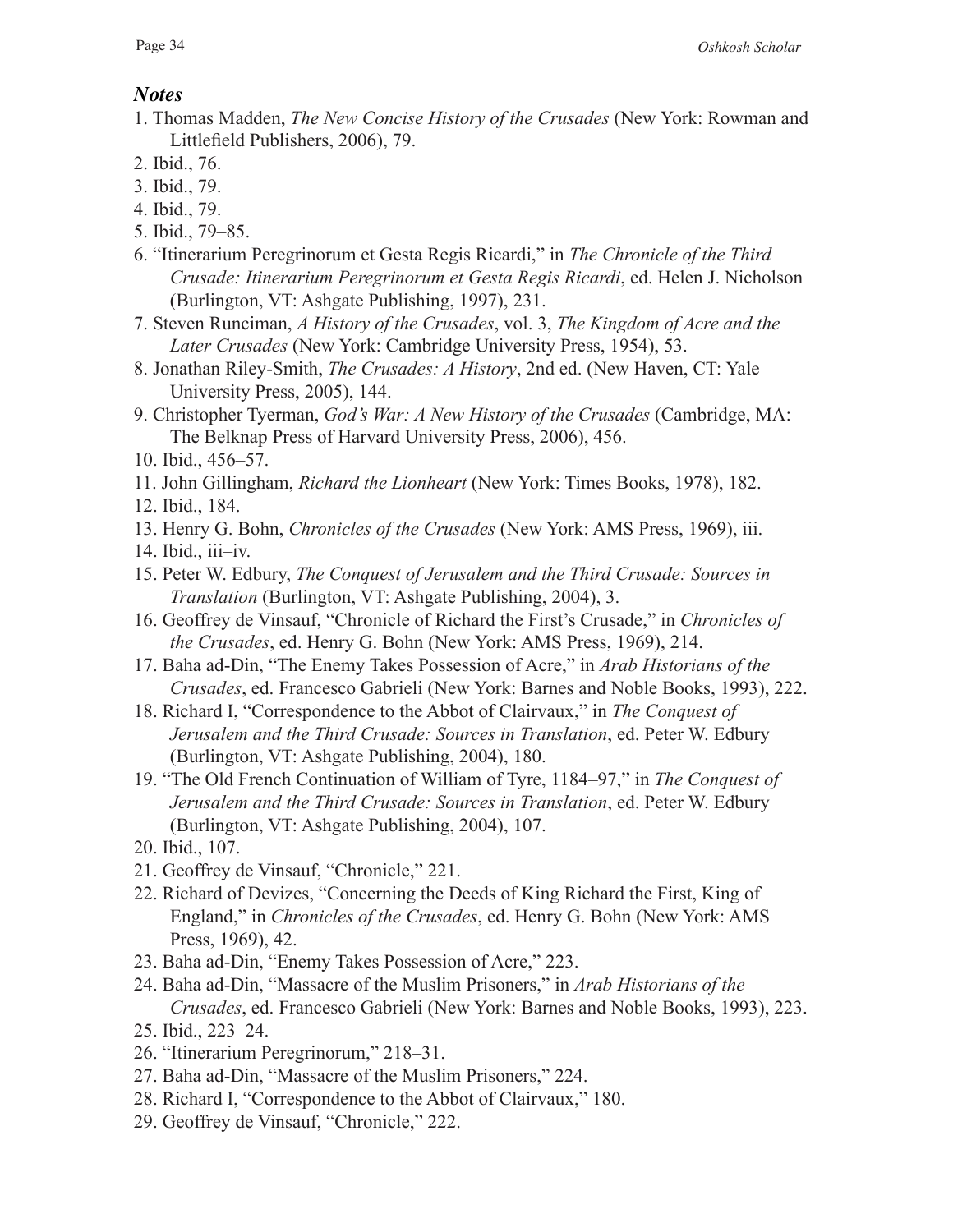## *Notes*

- 1. Thomas Madden, *The New Concise History of the Crusades* (New York: Rowman and Littlefeld Publishers, 2006), 79.
- 2. Ibid., 76.
- 3. Ibid., 79.
- 4. Ibid., 79.
- 5. Ibid., 79–85.
- 6. "Itinerarium Peregrinorum et Gesta Regis Ricardi," in *The Chronicle of the Third Crusade: Itinerarium Peregrinorum et Gesta Regis Ricardi*, ed. Helen J. Nicholson (Burlington, VT: Ashgate Publishing, 1997), 231.
- 7. Steven Runciman, *A History of the Crusades*, vol. 3, *The Kingdom of Acre and the Later Crusades* (New York: Cambridge University Press, 1954), 53.
- 8. Jonathan Riley-Smith, *The Crusades: A History*, 2nd ed. (New Haven, CT: Yale University Press, 2005), 144.
- 9. Christopher Tyerman, *God's War: A New History of the Crusades* (Cambridge, MA: The Belknap Press of Harvard University Press, 2006), 456.
- 10. Ibid., 456–57.
- 11. John Gillingham, *Richard the Lionheart* (New York: Times Books, 1978), 182.
- 12. Ibid., 184.
- 13. Henry G. Bohn, *Chronicles of the Crusades* (New York: AMS Press, 1969), iii.
- 14. Ibid., iii–iv.
- 15. Peter W. Edbury, *The Conquest of Jerusalem and the Third Crusade: Sources in Translation* (Burlington, VT: Ashgate Publishing, 2004), 3.
- 16. Geoffrey de Vinsauf, "Chronicle of Richard the First's Crusade," in *Chronicles of the Crusades*, ed. Henry G. Bohn (New York: AMS Press, 1969), 214.
- 17. Baha ad-Din, "The Enemy Takes Possession of Acre," in *Arab Historians of the Crusades*, ed. Francesco Gabrieli (New York: Barnes and Noble Books, 1993), 222.
- 18. Richard I, "Correspondence to the Abbot of Clairvaux," in *The Conquest of Jerusalem and the Third Crusade: Sources in Translation*, ed. Peter W. Edbury (Burlington, VT: Ashgate Publishing, 2004), 180.
- 19. "The Old French Continuation of William of Tyre, 1184–97," in *The Conquest of Jerusalem and the Third Crusade: Sources in Translation*, ed. Peter W. Edbury (Burlington, VT: Ashgate Publishing, 2004), 107.
- 20. Ibid., 107.
- 21. Geoffrey de Vinsauf, "Chronicle," 221.
- 22. Richard of Devizes, "Concerning the Deeds of King Richard the First, King of England," in *Chronicles of the Crusades*, ed. Henry G. Bohn (New York: AMS Press, 1969), 42.
- 23. Baha ad-Din, "Enemy Takes Possession of Acre," 223.
- 24. Baha ad-Din, "Massacre of the Muslim Prisoners," in *Arab Historians of the Crusades*, ed. Francesco Gabrieli (New York: Barnes and Noble Books, 1993), 223.
- 25. Ibid., 223–24.
- 26. "Itinerarium Peregrinorum," 218–31.
- 27. Baha ad-Din, "Massacre of the Muslim Prisoners," 224.
- 28. Richard I, "Correspondence to the Abbot of Clairvaux," 180.
- 29. Geoffrey de Vinsauf, "Chronicle," 222.